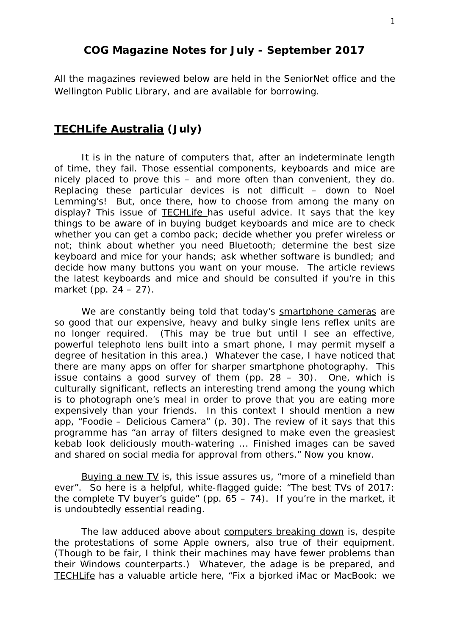### **COG Magazine Notes for July - September 2017**

All the magazines reviewed below are held in the SeniorNet office and the Wellington Public Library, and are available for borrowing.

### **TECHLife Australia (July)**

It is in the nature of computers that, after an indeterminate length of time, they fail. Those essential components, keyboards and mice are nicely placed to prove this – and more often than convenient, they do. Replacing these particular devices is not difficult – down to Noel Lemming's! But, once there, how to choose from among the many on display? This issue of TECHLife has useful advice. It says that the key things to be aware of in buying budget keyboards and mice are to check whether you can get a combo pack; decide whether you prefer wireless or not; think about whether you need Bluetooth; determine the best size keyboard and mice for your hands; ask whether software is bundled; and decide how many buttons you want on your mouse. The article reviews the latest keyboards and mice and should be consulted if you're in this market (pp. 24 – 27).

We are constantly being told that today's smartphone cameras are so good that our expensive, heavy and bulky single lens reflex units are no longer required. (This may be true but until I see an effective, powerful telephoto lens built into a smart phone, I may permit myself a degree of hesitation in this area.) Whatever the case, I have noticed that there are many apps on offer for sharper smartphone photography. This issue contains a good survey of them (pp.  $28 - 30$ ). One, which is culturally significant, reflects an interesting trend among the young which is to photograph one's meal in order to prove that you are eating more expensively than your friends. In this context I should mention a new app, "Foodie – Delicious Camera" (p. 30). The review of it says that this programme has "an array of filters designed to make even the greasiest kebab look deliciously mouth-watering ... Finished images can be saved and shared on social media for approval from others." Now you know.

Buying a new TV is, this issue assures us, "more of a minefield than ever". So here is a helpful, white-flagged guide: "The best TVs of 2017: the complete TV buyer's quide" (pp.  $65 - 74$ ). If you're in the market, it is undoubtedly essential reading.

The law adduced above about computers breaking down is, despite the protestations of some Apple owners, also true of their equipment. (Though to be fair, I think their machines may have fewer problems than their Windows counterparts.) Whatever, the adage is be prepared, and TECHLife has a valuable article here, "Fix a bjorked iMac or MacBook: we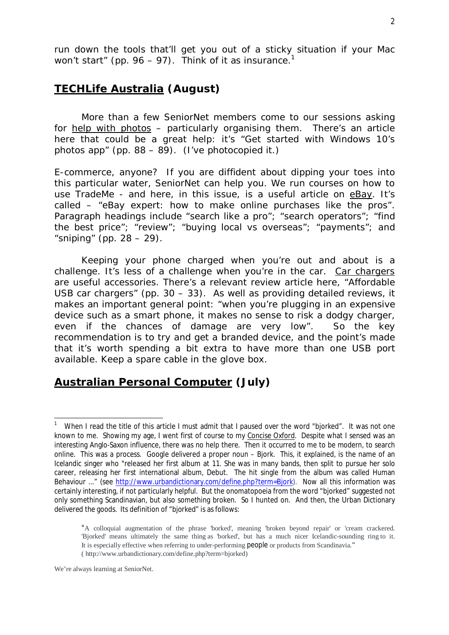### **TECHLife Australia (August)**

More than a few SeniorNet members come to our sessions asking for help with photos – particularly organising them. There's an article here that could be a great help: it's "Get started with Windows 10's photos app" (pp. 88 – 89). (I've photocopied it.)

E-commerce, anyone? If you are diffident about dipping your toes into this particular water, SeniorNet can help you. We run courses on how to use TradeMe - and here, in this issue, is a useful article on eBay. It's called – "eBay expert: how to make online purchases like the pros". Paragraph headings include "search like a pro"; "search operators"; "find the best price"; "review"; "buying local vs overseas"; "payments"; and "sniping" (pp.  $28 - 29$ ).

Keeping your phone charged when you're out and about is a challenge. It's less of a challenge when you're in the car. Car chargers are useful accessories. There's a relevant review article here, "Affordable USB car chargers" (pp. 30 – 33). As well as providing detailed reviews, it makes an important general point: "when you're plugging in an expensive device such as a smart phone, it makes no sense to risk a dodgy charger, even if the chances of damage are very low". So the key recommendation is to try and get a branded device, and the point's made that it's worth spending a bit extra to have more than one USB port available. Keep a spare cable in the glove box.

## **Australian Personal Computer (July)**

We're always learning at SeniorNet.

<sup>|&</sup>lt;br>1 When I read the title of this article I must admit that I paused over the word "bjorked". It was not one known to me. Showing my age, I went first of course to my Concise Oxford. Despite what I sensed was an interesting Anglo-Saxon influence, there was no help there. Then it occurred to me to be modern, to search online. This was a process. Google delivered a proper noun – Bjork. This, it explained, is the name of an Icelandic singer who "released her first album at 11. She was in many bands, then split to pursue her solo career, releasing her first international album, Debut. The hit single from the album was called Human Behaviour ..." (see [http://www.urbandictionary.com/define.php?term=Bjork\).](http://www.urbandictionary.com/define.php?term=Bjork).) Now all this information was certainly interesting, if not particularly helpful. But the onomatopoeia from the word "bjorked" suggested not only something Scandinavian, but also something broken. So I hunted on. And then, the Urban Dictionary delivered the goods. Its definition of "bjorked" is as follows:

<sup>&</sup>quot;A colloquial augmentation of the phrase 'borked', meaning 'broken beyond repair' or 'cream crackered. 'Bjorked' means ultimately the same thing as 'borked', but has a much nicer Icelandic-sounding ring to it. It is especially effective when referring to under-performing people or products from Scandinavia." ( [http://www.urbandictionary.com/define.php?term=bjorked\)](http://www.urbandictionary.com/define.php?term=bjorked))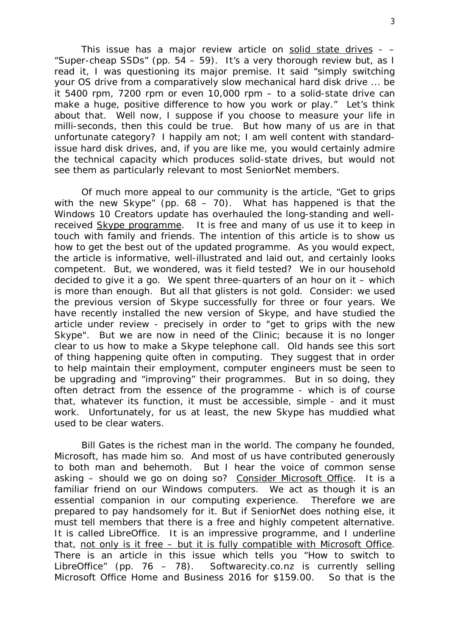This issue has a major review article on solid state drives -  $-$ "Super-cheap SSDs" (pp.  $54 - 59$ ). It's a very thorough review but, as I read it, I was questioning its major premise. It said "simply switching your OS drive from a comparatively slow mechanical hard disk drive ... be it 5400 rpm, 7200 rpm or even 10,000 rpm – to a solid-state drive can make a huge, positive difference to how you work or play." Let's think about that. Well now, I suppose if you choose to measure your life in milli-seconds, then this could be true. But how many of us are in that unfortunate category? I happily am not; I am well content with standardissue hard disk drives, and, if you are like me, you would certainly admire the technical capacity which produces solid-state drives, but would not see them as particularly relevant to most SeniorNet members.

Of much more appeal to our community is the article, "Get to grips with the new Skype" (pp.  $68 - 70$ ). What has happened is that the Windows 10 Creators update has overhauled the long-standing and wellreceived Skype programme. It is free and many of us use it to keep in touch with family and friends. The intention of this article is to show us how to get the best out of the updated programme. As you would expect, the article is informative, well-illustrated and laid out, and certainly looks competent. But, we wondered, was it field tested? We in our household decided to give it a go. We spent three-quarters of an hour on it – which is more than enough. But all that glisters is not gold. Consider: we used the previous version of Skype successfully for three or four years. We have recently installed the new version of Skype, and have studied the article under review - precisely in order to "get to grips with the new Skype". But we are now in need of the Clinic; because it is no longer clear to us how to make a Skype telephone call. Old hands see this sort of thing happening quite often in computing. They suggest that in order to help maintain their employment, computer engineers must be seen to be upgrading and "improving" their programmes. But in so doing, they often detract from the essence of the programme - which is of course that, whatever its function, it must be accessible, simple - and it must work. Unfortunately, for us at least, the new Skype has muddied what used to be clear waters.

Bill Gates is the richest man in the world. The company he founded, Microsoft, has made him so. And most of us have contributed generously to both man and behemoth. But I hear the voice of common sense asking – should we go on doing so? Consider Microsoft Office. It is a familiar friend on our Windows computers. We act as though it is an essential companion in our computing experience. Therefore we are prepared to pay handsomely for it. But if SeniorNet does nothing else, it must tell members that there is a free and highly competent alternative. It is called LibreOffice. It is an impressive programme, and I underline that, not only is it free – but it is fully compatible with Microsoft Office. There is an article in this issue which tells you "How to switch to LibreOffice" (pp. 76 – 78). Softwarecity.co.nz is currently selling Microsoft Office Home and Business 2016 for \$159.00. So that is the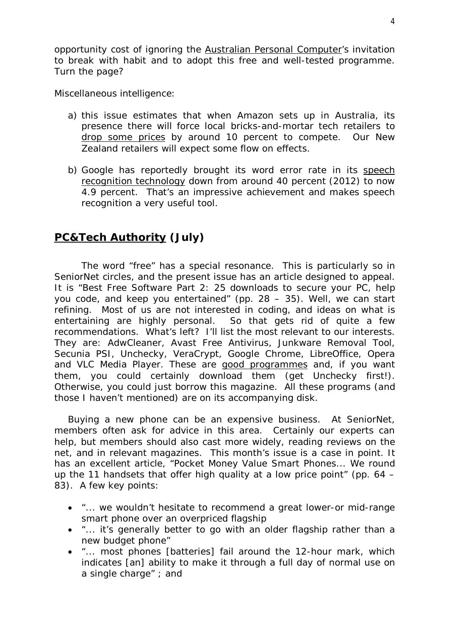opportunity cost of ignoring the Australian Personal Computer's invitation to break with habit and to adopt this free and well-tested programme. Turn the page?

Miscellaneous intelligence:

- a) this issue estimates that when Amazon sets up in Australia, its presence there will force local bricks-and-mortar tech retailers to drop some prices by around 10 percent to compete. Our New Zealand retailers will expect some flow on effects.
- b) Google has reportedly brought its word error rate in its speech recognition technology down from around 40 percent (2012) to now 4.9 percent. That's an impressive achievement and makes speech recognition a very useful tool.

# **PC&Tech Authority (July)**

The word "free" has a special resonance. This is particularly so in SeniorNet circles, and the present issue has an article designed to appeal. It is "Best Free Software Part 2: 25 downloads to secure your PC, help you code, and keep you entertained" (pp. 28 – 35). Well, we can start refining. Most of us are not interested in coding, and ideas on what is entertaining are highly personal. So that gets rid of quite a few recommendations. What's left? I'll list the most relevant to our interests. They are: AdwCleaner, Avast Free Antivirus, Junkware Removal Tool, Secunia PSI, Unchecky, VeraCrypt, Google Chrome, LibreOffice, Opera and VLC Media Player. These are good programmes and, if you want them, you could certainly download them (get Unchecky first!). Otherwise, you could just borrow this magazine. All these programs (and those I haven't mentioned) are on its accompanying disk.

Buying a new phone can be an expensive business. At SeniorNet, members often ask for advice in this area. Certainly our experts can help, but members should also cast more widely, reading reviews on the net, and in relevant magazines. This month's issue is a case in point. It has an excellent article, "Pocket Money Value Smart Phones... We round up the 11 handsets that offer high quality at a low price point" (pp. 64 – 83). A few key points:

- "... we wouldn't hesitate to recommend a great lower-or mid-range smart phone over an overpriced flagship
- "... it's generally better to go with an older flagship rather than a new budget phone"
- "... most phones [batteries] fail around the 12-hour mark, which indicates [an] ability to make it through a full day of normal use on a single charge" ; and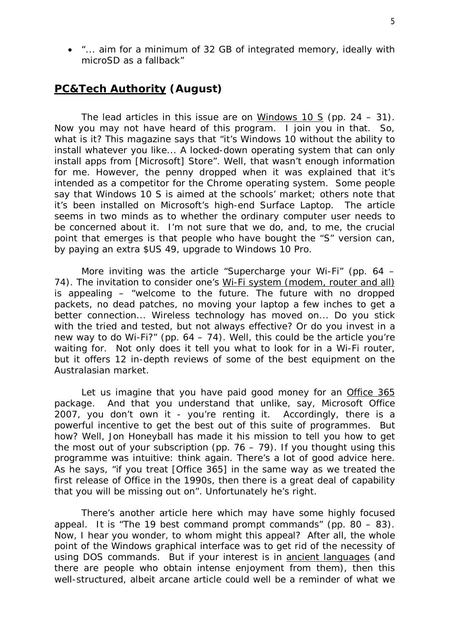"... aim for a minimum of 32 GB of integrated memory, ideally with microSD as a fallback"

### **PC&Tech Authority (August)**

The lead articles in this issue are on Windows 10 S (pp. 24 – 31). Now you may not have heard of this program. I join you in that. So, what is it? This magazine says that "it's Windows 10 without the ability to install whatever you like... A locked-down operating system that can only install apps from [Microsoft] Store". Well, that wasn't enough information for me. However, the penny dropped when it was explained that it's intended as a competitor for the Chrome operating system. Some people say that Windows 10 S is aimed at the schools' market; others note that it's been installed on Microsoft's high-end Surface Laptop. The article seems in two minds as to whether the ordinary computer user needs to be concerned about it. I'm not sure that we do, and, to me, the crucial point that emerges is that people who have bought the "S" version can, by paying an extra \$US 49, upgrade to Windows 10 Pro.

More inviting was the article "Supercharge your Wi-Fi" (pp. 64 – 74). The invitation to consider one's Wi-Fi system (modem, router and all) is appealing – "welcome to the future. The future with no dropped packets, no dead patches, no moving your laptop a few inches to get a better connection... Wireless technology has moved on... Do you stick with the tried and tested, but not always effective? Or do you invest in a new way to do Wi-Fi?" (pp.  $64 - 74$ ). Well, this could be the article you're waiting for. Not only does it tell you what to look for in a Wi-Fi router, but it offers 12 in-depth reviews of some of the best equipment on the Australasian market.

Let us imagine that you have paid good money for an Office 365 package. And that you understand that unlike, say, Microsoft Office 2007, you don't own it - you're renting it. Accordingly, there is a powerful incentive to get the best out of this suite of programmes. But how? Well, Jon Honeyball has made it his mission to tell you how to get the most out of your subscription (pp.  $76 - 79$ ). If you thought using this programme was intuitive: think again. There's a lot of good advice here. As he says, "if you treat [Office 365] in the same way as we treated the first release of Office in the 1990s, then there is a great deal of capability that you will be missing out on". Unfortunately he's right.

There's another article here which may have some highly focused appeal. It is "The 19 best command prompt commands" (pp. 80 – 83). Now, I hear you wonder, to whom might this appeal? After all, the whole point of the Windows graphical interface was to get rid of the necessity of using DOS commands. But if your interest is in ancient languages (and there are people who obtain intense enjoyment from them), then this well-structured, albeit arcane article could well be a reminder of what we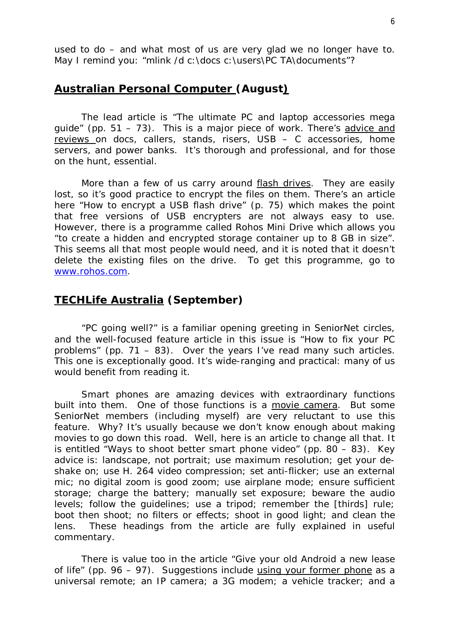used to do – and what most of us are very glad we no longer have to. May I remind you: "mlink /d c:\docs c:\users\PC TA\documents"?

### **Australian Personal Computer (August)**

The lead article is "The ultimate PC and laptop accessories mega quide" (pp.  $51 - 73$ ). This is a major piece of work. There's advice and reviews on docs, callers, stands, risers, USB – C accessories, home servers, and power banks. It's thorough and professional, and for those on the hunt, essential.

More than a few of us carry around flash drives. They are easily lost, so it's good practice to encrypt the files on them. There's an article here "How to encrypt a USB flash drive" (p. 75) which makes the point that free versions of USB encrypters are not always easy to use. However, there is a programme called Rohos Mini Drive which allows you "to create a hidden and encrypted storage container up to 8 GB in size". This seems all that most people would need, and it is noted that it doesn't delete the existing files on the drive. To get this programme, go to [www.rohos.com.](http://www.rohos.com.)

### **TECHLife Australia (September)**

"PC going well?" is a familiar opening greeting in SeniorNet circles, and the well-focused feature article in this issue is "How to fix your PC problems" (pp. 71 – 83). Over the years I've read many such articles. This one is exceptionally good. It's wide-ranging and practical: many of us would benefit from reading it.

Smart phones are amazing devices with extraordinary functions built into them. One of those functions is a movie camera. But some SeniorNet members (including myself) are very reluctant to use this feature. Why? It's usually because we don't know enough about making movies to go down this road. Well, here is an article to change all that. It is entitled "Ways to shoot better smart phone video" (pp. 80 – 83). Key advice is: landscape, not portrait; use maximum resolution; get your deshake on; use H. 264 video compression; set anti-flicker; use an external mic; no digital zoom is good zoom; use airplane mode; ensure sufficient storage; charge the battery; manually set exposure; beware the audio levels; follow the guidelines; use a tripod; remember the [thirds] rule; boot then shoot; no filters or effects; shoot in good light; and clean the lens. These headings from the article are fully explained in useful commentary.

There is value too in the article "Give your old Android a new lease of life" (pp. 96 – 97). Suggestions include using your former phone as a universal remote; an IP camera; a 3G modem; a vehicle tracker; and a